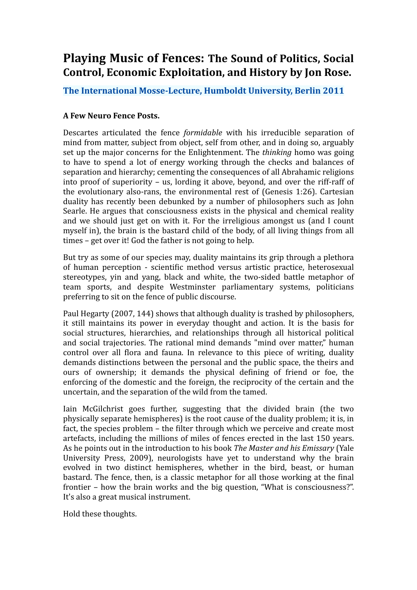# **Playing Music of Fences: The Sound of Politics, Social Control, Economic Exploitation, and History by Jon Rose.**

The International Mosse-Lecture, Humboldt University, Berlin 2011

## **A Few Neuro Fence Posts.**

Descartes articulated the fence *formidable* with his irreducible separation of mind from matter, subject from object, self from other, and in doing so, arguably set up the major concerns for the Enlightenment. The *thinking* homo was going to have to spend a lot of energy working through the checks and balances of separation and hierarchy; cementing the consequences of all Abrahamic religions into proof of superiority  $-$  us, lording it above, beyond, and over the riff-raff of the evolutionary also-rans, the environmental rest of (Genesis 1:26). Cartesian duality has recently been debunked by a number of philosophers such as John Searle. He argues that consciousness exists in the physical and chemical reality and we should just get on with it. For the irreligious amongst us (and I count myself in), the brain is the bastard child of the body, of all living things from all times – get over it! God the father is not going to help.

But try as some of our species may, duality maintains its grip through a plethora of human perception - scientific method versus artistic practice, heterosexual stereotypes, yin and yang, black and white, the two-sided battle metaphor of team sports, and despite Westminster parliamentary systems, politicians preferring to sit on the fence of public discourse.

Paul Hegarty (2007, 144) shows that although duality is trashed by philosophers, it still maintains its power in everyday thought and action. It is the basis for social structures, hierarchies, and relationships through all historical political and social trajectories. The rational mind demands "mind over matter," human control over all flora and fauna. In relevance to this piece of writing, duality demands distinctions between the personal and the public space, the theirs and ours of ownership; it demands the physical defining of friend or foe, the enforcing of the domestic and the foreign, the reciprocity of the certain and the uncertain, and the separation of the wild from the tamed.

Iain McGilchrist goes further, suggesting that the divided brain (the two physically separate hemispheres) is the root cause of the duality problem; it is, in fact, the species problem - the filter through which we perceive and create most artefacts, including the millions of miles of fences erected in the last 150 years. As he points out in the introduction to his book *The Master and his Emissary* (Yale University Press, 2009), neurologists have yet to understand why the brain evolved in two distinct hemispheres, whether in the bird, beast, or human bastard. The fence, then, is a classic metaphor for all those working at the final frontier – how the brain works and the big question, "What is consciousness?". It's also a great musical instrument.

Hold these thoughts.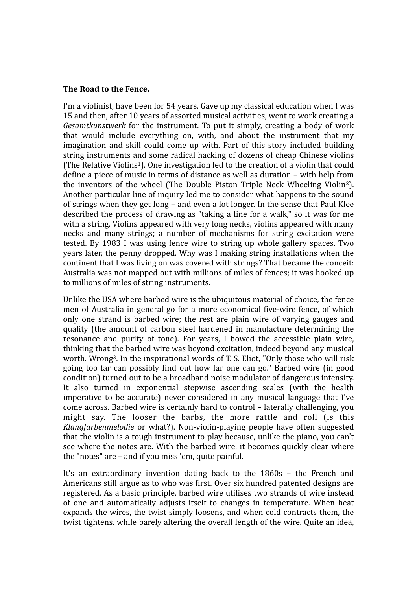#### **The Road to the Fence.**

<span id="page-1-1"></span><span id="page-1-0"></span>I'm a violinist, have been for 54 years. Gave up my classical education when I was 15 and then, after 10 years of assorted musical activities, went to work creating a *Gesamtkunstwerk* for the instrument. To put it simply, creating a body of work that would include everything on, with, and about the instrument that my imagination and skill could come up with. Part of this story included building string instruments and some radical hacking of dozens of cheap Chinese violins (The Relative Violins<sup>[1](#page-13-0)</sup>). One investigation led to the creation of a violin that could define a piece of music in terms of distance as well as duration  $-$  with help from the inventors of the wheel (The Double Piston Triple Neck Wheeling Violin<sup>[2](#page-13-1)</sup>). Another particular line of inquiry led me to consider what happens to the sound of strings when they get long – and even a lot longer. In the sense that Paul Klee described the process of drawing as "taking a line for a walk," so it was for me with a string. Violins appeared with very long necks, violins appeared with many necks and many strings; a number of mechanisms for string excitation were tested. By 1983 I was using fence wire to string up whole gallery spaces. Two years later, the penny dropped. Why was I making string installations when the continent that I was living on was covered with strings? That became the conceit: Australia was not mapped out with millions of miles of fences; it was hooked up to millions of miles of string instruments.

<span id="page-1-2"></span>Unlike the USA where barbed wire is the ubiquitous material of choice, the fence men of Australia in general go for a more economical five-wire fence, of which only one strand is barbed wire; the rest are plain wire of varying gauges and quality (the amount of carbon steel hardened in manufacture determining the resonance and purity of tone). For years, I bowed the accessible plain wire, thinking that the barbed wire was beyond excitation, indeed beyond any musical worth. Wrong<sup>[3](#page-13-2)</sup>. In the inspirational words of T. S. Eliot, "Only those who will risk going too far can possibly find out how far one can go." Barbed wire (in good condition) turned out to be a broadband noise modulator of dangerous intensity. It also turned in exponential stepwise ascending scales (with the health imperative to be accurate) never considered in any musical language that I've come across. Barbed wire is certainly hard to control – laterally challenging, you might say. The looser the barbs, the more rattle and roll (is this *Klangfarbenmelodie* or what?). Non-violin-playing people have often suggested that the violin is a tough instrument to play because, unlike the piano, you can't see where the notes are. With the barbed wire, it becomes quickly clear where the "notes" are  $-$  and if you miss 'em, quite painful.

It's an extraordinary invention dating back to the 1860s – the French and Americans still argue as to who was first. Over six hundred patented designs are registered. As a basic principle, barbed wire utilises two strands of wire instead of one and automatically adjusts itself to changes in temperature. When heat expands the wires, the twist simply loosens, and when cold contracts them, the twist tightens, while barely altering the overall length of the wire. Quite an idea,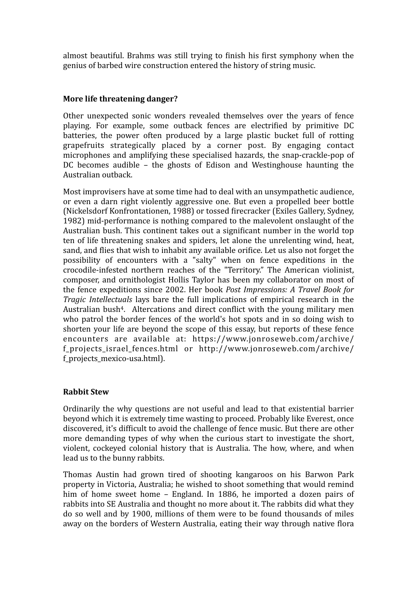almost beautiful. Brahms was still trying to finish his first symphony when the genius of barbed wire construction entered the history of string music.

## **More life threatening danger?**

Other unexpected sonic wonders revealed themselves over the years of fence playing. For example, some outback fences are electrified by primitive DC batteries, the power often produced by a large plastic bucket full of rotting grapefruits strategically placed by a corner post. By engaging contact microphones and amplifying these specialised hazards, the snap-crackle-pop of DC becomes audible  $-$  the ghosts of Edison and Westinghouse haunting the Australian outback.

Most improvisers have at some time had to deal with an unsympathetic audience, or even a darn right violently aggressive one. But even a propelled beer bottle (Nickelsdorf Konfrontationen, 1988) or tossed firecracker (Exiles Gallery, Sydney, 1982) mid-performance is nothing compared to the malevolent onslaught of the Australian bush. This continent takes out a significant number in the world top ten of life threatening snakes and spiders, let alone the unrelenting wind, heat, sand, and flies that wish to inhabit any available orifice. Let us also not forget the possibility of encounters with a "salty" when on fence expeditions in the crocodile-infested northern reaches of the "Territory." The American violinist, composer, and ornithologist Hollis Taylor has been my collaborator on most of the fence expeditions since 2002. Her book *Post Impressions:* A Travel Book for *Tragic Intellectuals* lays bare the full implications of empirical research in the Australian bush<sup>[4](#page-13-3)</sup>. Altercations and direct conflict with the young military men who patrol the border fences of the world's hot spots and in so doing wish to shorten your life are beyond the scope of this essay, but reports of these fence encounters are available at: https://www.jonroseweb.com/archive/ f\_projects\_israel\_fences.html or http://www.jonroseweb.com/archive/ f projects mexico-usa.html).

## <span id="page-2-0"></span>**Rabbit Stew**

Ordinarily the why questions are not useful and lead to that existential barrier beyond which it is extremely time wasting to proceed. Probably like Everest, once discovered, it's difficult to avoid the challenge of fence music. But there are other more demanding types of why when the curious start to investigate the short, violent, cockeyed colonial history that is Australia. The how, where, and when lead us to the bunny rabbits.

Thomas Austin had grown tired of shooting kangaroos on his Barwon Park property in Victoria, Australia; he wished to shoot something that would remind him of home sweet home  $-$  England. In 1886, he imported a dozen pairs of rabbits into SE Australia and thought no more about it. The rabbits did what they do so well and by 1900, millions of them were to be found thousands of miles away on the borders of Western Australia, eating their way through native flora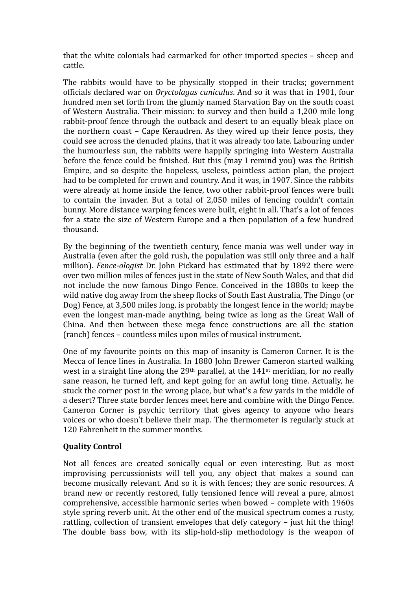that the white colonials had earmarked for other imported species – sheep and cattle. 

The rabbits would have to be physically stopped in their tracks; government officials declared war on *Oryctolagus cuniculus*. And so it was that in 1901, four hundred men set forth from the glumly named Starvation Bay on the south coast of Western Australia. Their mission: to survey and then build a 1,200 mile long rabbit-proof fence through the outback and desert to an equally bleak place on the northern coast  $-$  Cape Keraudren. As they wired up their fence posts, they could see across the denuded plains, that it was already too late. Labouring under the humourless sun, the rabbits were happily springing into Western Australia before the fence could be finished. But this (may I remind you) was the British Empire, and so despite the hopeless, useless, pointless action plan, the project had to be completed for crown and country. And it was, in 1907. Since the rabbits were already at home inside the fence, two other rabbit-proof fences were built to contain the invader. But a total of 2,050 miles of fencing couldn't contain bunny. More distance warping fences were built, eight in all. That's a lot of fences for a state the size of Western Europe and a then population of a few hundred thousand. 

By the beginning of the twentieth century, fence mania was well under way in Australia (even after the gold rush, the population was still only three and a half million). *Fence-ologist* Dr. John Pickard has estimated that by 1892 there were over two million miles of fences just in the state of New South Wales, and that did not include the now famous Dingo Fence. Conceived in the 1880s to keep the wild native dog away from the sheep flocks of South East Australia, The Dingo (or Dog) Fence, at 3,500 miles long, is probably the longest fence in the world; maybe even the longest man-made anything, being twice as long as the Great Wall of China. And then between these mega fence constructions are all the station (ranch) fences – countless miles upon miles of musical instrument.

One of my favourite points on this map of insanity is Cameron Corner. It is the Mecca of fence lines in Australia. In 1880 John Brewer Cameron started walking west in a straight line along the  $29<sup>th</sup>$  parallel, at the  $141<sup>st</sup>$  meridian, for no really sane reason, he turned left, and kept going for an awful long time. Actually, he stuck the corner post in the wrong place, but what's a few yards in the middle of a desert? Three state border fences meet here and combine with the Dingo Fence. Cameron Corner is psychic territory that gives agency to anyone who hears voices or who doesn't believe their map. The thermometer is regularly stuck at 120 Fahrenheit in the summer months.

## **Quality Control**

Not all fences are created sonically equal or even interesting. But as most improvising percussionists will tell you, any object that makes a sound can become musically relevant. And so it is with fences; they are sonic resources. A brand new or recently restored, fully tensioned fence will reveal a pure, almost comprehensive, accessible harmonic series when bowed – complete with 1960s style spring reverb unit. At the other end of the musical spectrum comes a rusty, rattling, collection of transient envelopes that defy category  $-$  just hit the thing! The double bass bow, with its slip-hold-slip methodology is the weapon of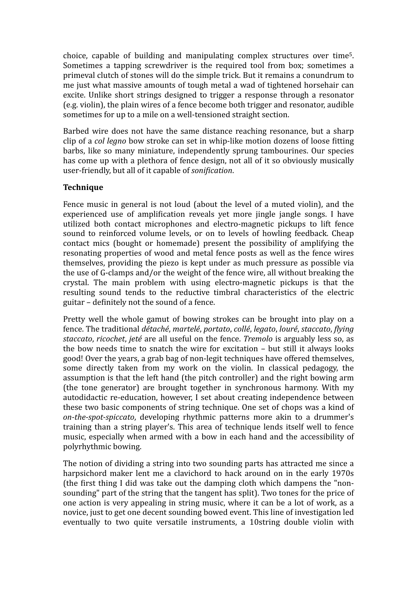<span id="page-4-0"></span>choice, capable of building and manipulating complex structures over time<sup>[5](#page-13-4)</sup>. Sometimes a tapping screwdriver is the required tool from box; sometimes a primeval clutch of stones will do the simple trick. But it remains a conundrum to me just what massive amounts of tough metal a wad of tightened horsehair can excite. Unlike short strings designed to trigger a response through a resonator (e.g. violin), the plain wires of a fence become both trigger and resonator, audible sometimes for up to a mile on a well-tensioned straight section.

Barbed wire does not have the same distance reaching resonance, but a sharp clip of a *col legno* bow stroke can set in whip-like motion dozens of loose fitting barbs, like so many miniature, independently sprung tambourines. Our species has come up with a plethora of fence design, not all of it so obviously musically user-friendly, but all of it capable of *sonification*.

## **Technique**

Fence music in general is not loud (about the level of a muted violin), and the experienced use of amplification reveals yet more jingle jangle songs. I have utilized both contact microphones and electro-magnetic pickups to lift fence sound to reinforced volume levels, or on to levels of howling feedback. Cheap contact mics (bought or homemade) present the possibility of amplifying the resonating properties of wood and metal fence posts as well as the fence wires themselves, providing the piezo is kept under as much pressure as possible via the use of G-clamps and/or the weight of the fence wire, all without breaking the crystal. The main problem with using electro-magnetic pickups is that the resulting sound tends to the reductive timbral characteristics of the electric guitar – definitely not the sound of a fence.

Pretty well the whole gamut of bowing strokes can be brought into play on a fence. The traditional *détaché*, *martelé*, *portato*, *collé*, *legato*, *louré*, *staccato*, *flying staccato, ricochet, jeté* are all useful on the fence. *Tremolo* is arguably less so, as the bow needs time to snatch the wire for excitation  $-$  but still it always looks good! Over the years, a grab bag of non-legit techniques have offered themselves, some directly taken from my work on the violin. In classical pedagogy, the assumption is that the left hand (the pitch controller) and the right bowing arm (the tone generator) are brought together in synchronous harmony. With my autodidactic re-education, however, I set about creating independence between these two basic components of string technique. One set of chops was a kind of *on-the-spot-spiccato*, developing rhythmic patterns more akin to a drummer's training than a string player's. This area of technique lends itself well to fence music, especially when armed with a bow in each hand and the accessibility of polyrhythmic bowing.

The notion of dividing a string into two sounding parts has attracted me since a harpsichord maker lent me a clavichord to hack around on in the early 1970s (the first thing I did was take out the damping cloth which dampens the "nonsounding" part of the string that the tangent has split). Two tones for the price of one action is very appealing in string music, where it can be a lot of work, as a novice, just to get one decent sounding bowed event. This line of investigation led eventually to two quite versatile instruments, a 10string double violin with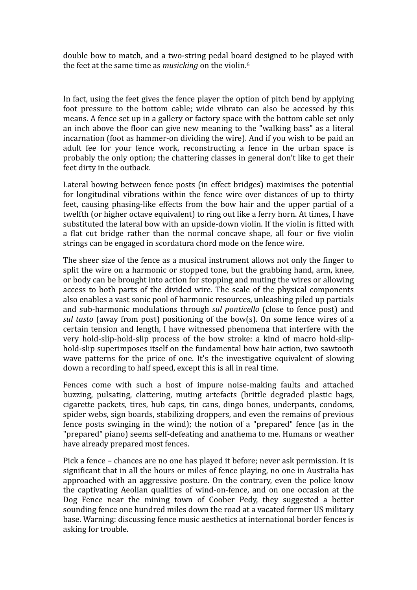<span id="page-5-0"></span>double bow to match, and a two-string pedal board designed to be played with the feet at the same time as *musicking* on the violin.<sup>[6](#page-13-5)</sup>

In fact, using the feet gives the fence player the option of pitch bend by applying foot pressure to the bottom cable; wide vibrato can also be accessed by this means. A fence set up in a gallery or factory space with the bottom cable set only an inch above the floor can give new meaning to the "walking bass" as a literal incarnation (foot as hammer-on dividing the wire). And if you wish to be paid an adult fee for your fence work, reconstructing a fence in the urban space is probably the only option; the chattering classes in general don't like to get their feet dirty in the outback.

Lateral bowing between fence posts (in effect bridges) maximises the potential for longitudinal vibrations within the fence wire over distances of up to thirty feet, causing phasing-like effects from the bow hair and the upper partial of a twelfth (or higher octave equivalent) to ring out like a ferry horn. At times, I have substituted the lateral bow with an upside-down violin. If the violin is fitted with a flat cut bridge rather than the normal concave shape, all four or five violin strings can be engaged in scordatura chord mode on the fence wire.

The sheer size of the fence as a musical instrument allows not only the finger to split the wire on a harmonic or stopped tone, but the grabbing hand, arm, knee, or body can be brought into action for stopping and muting the wires or allowing access to both parts of the divided wire. The scale of the physical components also enables a vast sonic pool of harmonic resources, unleashing piled up partials and sub-harmonic modulations through *sul ponticello* (close to fence post) and *sul* tasto (away from post) positioning of the bow(s). On some fence wires of a certain tension and length. I have witnessed phenomena that interfere with the very hold-slip-hold-slip process of the bow stroke: a kind of macro hold-sliphold-slip superimposes itself on the fundamental bow hair action, two sawtooth wave patterns for the price of one. It's the investigative equivalent of slowing down a recording to half speed, except this is all in real time.

Fences come with such a host of impure noise-making faults and attached buzzing, pulsating, clattering, muting artefacts (brittle degraded plastic bags, cigarette packets, tires, hub caps, tin cans, dingo bones, underpants, condoms, spider webs, sign boards, stabilizing droppers, and even the remains of previous fence posts swinging in the wind); the notion of a "prepared" fence (as in the "prepared" piano) seems self-defeating and anathema to me. Humans or weather have already prepared most fences.

Pick a fence – chances are no one has played it before; never ask permission. It is significant that in all the hours or miles of fence playing, no one in Australia has approached with an aggressive posture. On the contrary, even the police know the captivating Aeolian qualities of wind-on-fence, and on one occasion at the Dog Fence near the mining town of Coober Pedy, they suggested a better sounding fence one hundred miles down the road at a vacated former US military base. Warning: discussing fence music aesthetics at international border fences is asking for trouble.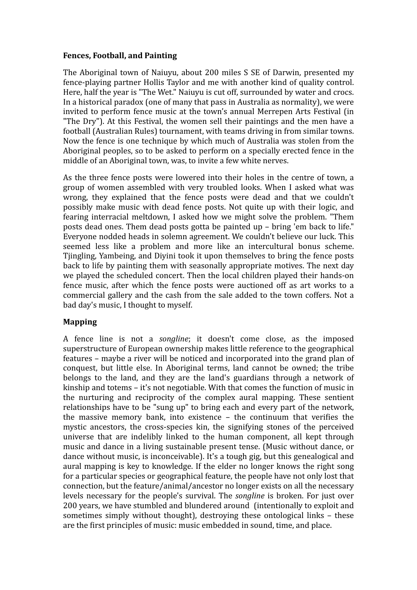#### **Fences, Football, and Painting**

The Aboriginal town of Naiuyu, about 200 miles S SE of Darwin, presented my fence-playing partner Hollis Taylor and me with another kind of quality control. Here, half the vear is "The Wet." Naiuvu is cut off, surrounded by water and crocs. In a historical paradox (one of many that pass in Australia as normality), we were invited to perform fence music at the town's annual Merrepen Arts Festival (in "The Dry"). At this Festival, the women sell their paintings and the men have a football (Australian Rules) tournament, with teams driving in from similar towns. Now the fence is one technique by which much of Australia was stolen from the Aboriginal peoples, so to be asked to perform on a specially erected fence in the middle of an Aboriginal town, was, to invite a few white nerves.

As the three fence posts were lowered into their holes in the centre of town, a group of women assembled with very troubled looks. When I asked what was wrong, they explained that the fence posts were dead and that we couldn't possibly make music with dead fence posts. Not quite up with their logic, and fearing interracial meltdown, I asked how we might solve the problem. "Them posts dead ones. Them dead posts gotta be painted up - bring 'em back to life." Everyone nodded heads in solemn agreement. We couldn't believe our luck. This seemed less like a problem and more like an intercultural bonus scheme. Tiingling, Yambeing, and Diyini took it upon themselves to bring the fence posts back to life by painting them with seasonally appropriate motives. The next day we played the scheduled concert. Then the local children played their hands-on fence music, after which the fence posts were auctioned off as art works to a commercial gallery and the cash from the sale added to the town coffers. Not a bad day's music. I thought to myself.

## **Mapping**

A fence line is not a *songline*; it doesn't come close, as the imposed superstructure of European ownership makes little reference to the geographical features – maybe a river will be noticed and incorporated into the grand plan of conquest, but little else. In Aboriginal terms, land cannot be owned; the tribe belongs to the land, and they are the land's guardians through a network of kinship and totems  $-$  it's not negotiable. With that comes the function of music in the nurturing and reciprocity of the complex aural mapping. These sentient relationships have to be "sung up" to bring each and every part of the network, the massive memory bank, into existence  $-$  the continuum that verifies the mystic ancestors, the cross-species kin, the signifying stones of the perceived universe that are indelibly linked to the human component, all kept through music and dance in a living sustainable present tense. (Music without dance, or dance without music, is inconceivable). It's a tough gig, but this genealogical and aural mapping is key to knowledge. If the elder no longer knows the right song for a particular species or geographical feature, the people have not only lost that connection, but the feature/animal/ancestor no longer exists on all the necessary levels necessary for the people's survival. The *songline* is broken. For just over 200 years, we have stumbled and blundered around (intentionally to exploit and sometimes simply without thought), destroying these ontological links  $-$  these are the first principles of music: music embedded in sound, time, and place.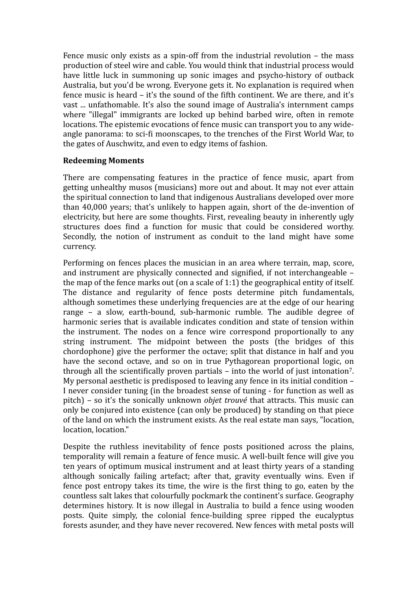Fence music only exists as a spin-off from the industrial revolution  $-$  the mass production of steel wire and cable. You would think that industrial process would have little luck in summoning up sonic images and psycho-history of outback Australia, but you'd be wrong. Everyone gets it. No explanation is required when fence music is heard  $-$  it's the sound of the fifth continent. We are there, and it's vast ... unfathomable. It's also the sound image of Australia's internment camps where "illegal" immigrants are locked up behind barbed wire, often in remote locations. The epistemic evocations of fence music can transport you to any wideangle panorama: to sci-fi moonscapes, to the trenches of the First World War, to the gates of Auschwitz, and even to edgy items of fashion.

## **Redeeming Moments**

There are compensating features in the practice of fence music, apart from getting unhealthy musos (musicians) more out and about. It may not ever attain the spiritual connection to land that indigenous Australians developed over more than 40,000 years; that's unlikely to happen again, short of the de-invention of electricity, but here are some thoughts. First, revealing beauty in inherently ugly structures does find a function for music that could be considered worthy. Secondly, the notion of instrument as conduit to the land might have some currency. 

Performing on fences places the musician in an area where terrain, map, score, and instrument are physically connected and signified, if not interchangeable  $$ the map of the fence marks out  $\alpha$  a scale of 1:1) the geographical entity of itself. The distance and regularity of fence posts determine pitch fundamentals, although sometimes these underlying frequencies are at the edge of our hearing range  $-$  a slow, earth-bound, sub-harmonic rumble. The audible degree of harmonic series that is available indicates condition and state of tension within the instrument. The nodes on a fence wire correspond proportionally to any string instrument. The midpoint between the posts (the bridges of this chordophone) give the performer the octave; split that distance in half and you have the second octave, and so on in true Pythagorean proportional logic, on through all the scientifically proven partials  $-$  into the world of just intonation<sup>[7](#page-13-6)</sup>. My personal aesthetic is predisposed to leaving any fence in its initial condition  $-$ I never consider tuning (in the broadest sense of tuning - for function as well as pitch) – so it's the sonically unknown *objet trouvé* that attracts. This music can only be conjured into existence (can only be produced) by standing on that piece of the land on which the instrument exists. As the real estate man says, "location, location, location."

<span id="page-7-0"></span>Despite the ruthless inevitability of fence posts positioned across the plains, temporality will remain a feature of fence music. A well-built fence will give you ten years of optimum musical instrument and at least thirty years of a standing although sonically failing artefact; after that, gravity eventually wins. Even if fence post entropy takes its time, the wire is the first thing to go, eaten by the countless salt lakes that colourfully pockmark the continent's surface. Geography determines history. It is now illegal in Australia to build a fence using wooden posts. Quite simply, the colonial fence-building spree ripped the eucalyptus forests asunder, and they have never recovered. New fences with metal posts will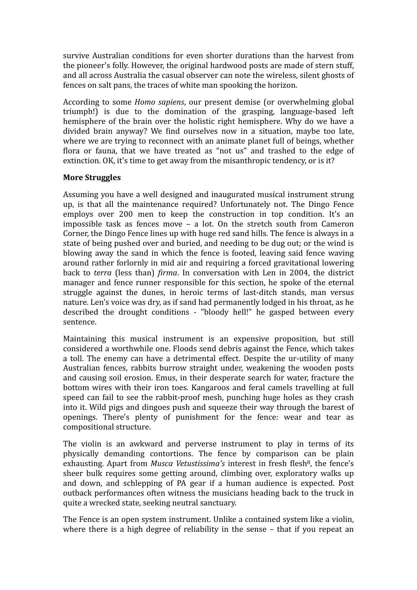survive Australian conditions for even shorter durations than the harvest from the pioneer's folly. However, the original hardwood posts are made of stern stuff, and all across Australia the casual observer can note the wireless, silent ghosts of fences on salt pans, the traces of white man spooking the horizon.

According to some *Homo sapiens*, our present demise (or overwhelming global triumph!) is due to the domination of the grasping, language-based left hemisphere of the brain over the holistic right hemisphere. Why do we have a divided brain anyway? We find ourselves now in a situation, maybe too late, where we are trying to reconnect with an animate planet full of beings, whether flora or fauna, that we have treated as "not us" and trashed to the edge of extinction. OK, it's time to get away from the misanthropic tendency, or is it?

## **More Struggles**

Assuming you have a well designed and inaugurated musical instrument strung up, is that all the maintenance required? Unfortunately not. The Dingo Fence employs over 200 men to keep the construction in top condition. It's an impossible task as fences move  $-$  a lot. On the stretch south from Cameron Corner, the Dingo Fence lines up with huge red sand hills. The fence is always in a state of being pushed over and buried, and needing to be dug out; or the wind is blowing away the sand in which the fence is footed, leaving said fence waving around rather forlornly in mid air and requiring a forced gravitational lowering back to *terra* (less than) *firma*. In conversation with Len in 2004, the district manager and fence runner responsible for this section, he spoke of the eternal struggle against the dunes, in heroic terms of last-ditch stands, man versus nature. Len's voice was dry, as if sand had permanently lodged in his throat, as he described the drought conditions - "bloody hell!" he gasped between every sentence. 

Maintaining this musical instrument is an expensive proposition, but still considered a worthwhile one. Floods send debris against the Fence, which takes a toll. The enemy can have a detrimental effect. Despite the ur-utility of many Australian fences, rabbits burrow straight under, weakening the wooden posts and causing soil erosion. Emus, in their desperate search for water, fracture the bottom wires with their iron toes. Kangaroos and feral camels travelling at full speed can fail to see the rabbit-proof mesh, punching huge holes as they crash into it. Wild pigs and dingoes push and squeeze their way through the barest of openings. There's plenty of punishment for the fence: wear and tear as compositional structure.

<span id="page-8-0"></span>The violin is an awkward and perverse instrument to play in terms of its physically demanding contortions. The fence by comparison can be plain exhausting. Apart from *Musca Vetustissima's* interest in fresh flesh<sup>[8](#page-14-0)</sup>, the fence's sheer bulk requires some getting around, climbing over, exploratory walks up and down, and schlepping of PA gear if a human audience is expected. Post outback performances often witness the musicians heading back to the truck in quite a wrecked state, seeking neutral sanctuary.

The Fence is an open system instrument. Unlike a contained system like a violin, where there is a high degree of reliability in the sense  $-$  that if you repeat an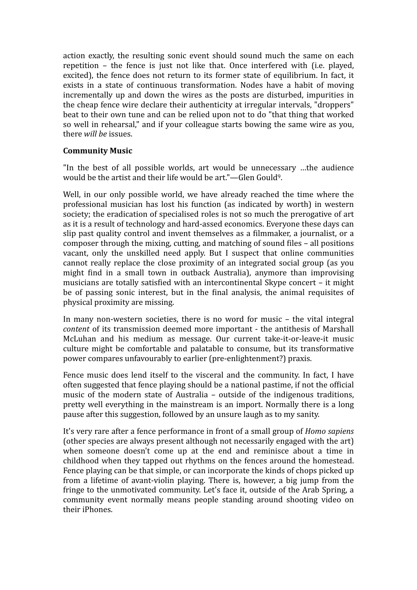action exactly, the resulting sonic event should sound much the same on each repetition  $-$  the fence is just not like that. Once interfered with (i.e. played, excited), the fence does not return to its former state of equilibrium. In fact, it exists in a state of continuous transformation. Nodes have a habit of moving incrementally up and down the wires as the posts are disturbed, impurities in the cheap fence wire declare their authenticity at irregular intervals, "droppers" beat to their own tune and can be relied upon not to do "that thing that worked so well in rehearsal," and if your colleague starts bowing the same wire as you, there *will be* issues.

#### **Community Music**

<span id="page-9-0"></span>"In the best of all possible worlds, art would be unnecessary ...the audience would be the artist and their life would be art."—Glen Gould<sup>[9](#page-14-1)</sup>.

Well, in our only possible world, we have already reached the time where the professional musician has lost his function (as indicated by worth) in western society; the eradication of specialised roles is not so much the prerogative of art as it is a result of technology and hard-assed economics. Everyone these days can slip past quality control and invent themselves as a filmmaker, a journalist, or a composer through the mixing, cutting, and matching of sound files  $-$  all positions vacant, only the unskilled need apply. But I suspect that online communities cannot really replace the close proximity of an integrated social group (as you might find in a small town in outback Australia), anymore than improvising musicians are totally satisfied with an intercontinental Skype concert – it might be of passing sonic interest, but in the final analysis, the animal requisites of physical proximity are missing.

In many non-western societies, there is no word for music  $-$  the vital integral *content* of its transmission deemed more important - the antithesis of Marshall McLuhan and his medium as message. Our current take-it-or-leave-it music culture might be comfortable and palatable to consume, but its transformative power compares unfavourably to earlier (pre-enlightenment?) praxis.

Fence music does lend itself to the visceral and the community. In fact, I have often suggested that fence playing should be a national pastime, if not the official music of the modern state of Australia  $-$  outside of the indigenous traditions, pretty well everything in the mainstream is an import. Normally there is a long pause after this suggestion, followed by an unsure laugh as to my sanity.

It's very rare after a fence performance in front of a small group of *Homo sapiens* (other species are always present although not necessarily engaged with the art) when someone doesn't come up at the end and reminisce about a time in childhood when they tapped out rhythms on the fences around the homestead. Fence playing can be that simple, or can incorporate the kinds of chops picked up from a lifetime of avant-violin playing. There is, however, a big jump from the fringe to the unmotivated community. Let's face it, outside of the Arab Spring, a community event normally means people standing around shooting video on their iPhones.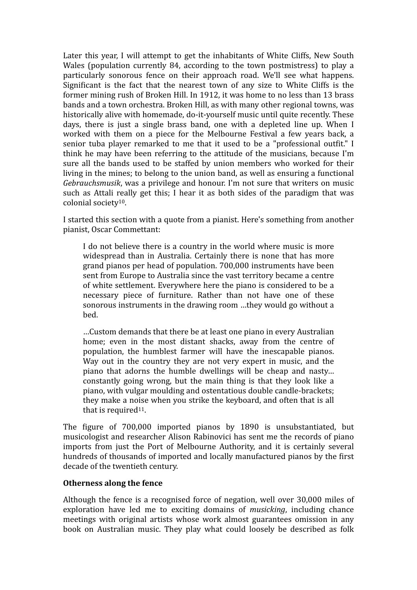Later this year, I will attempt to get the inhabitants of White Cliffs, New South Wales (population currently 84, according to the town postmistress) to play a particularly sonorous fence on their approach road. We'll see what happens. Significant is the fact that the nearest town of any size to White Cliffs is the former mining rush of Broken Hill. In 1912, it was home to no less than 13 brass bands and a town orchestra. Broken Hill, as with many other regional towns, was historically alive with homemade, do-it-yourself music until quite recently. These days, there is just a single brass band, one with a depleted line up. When I worked with them on a piece for the Melbourne Festival a few years back, a senior tuba player remarked to me that it used to be a "professional outfit." I think he may have been referring to the attitude of the musicians, because I'm sure all the bands used to be staffed by union members who worked for their living in the mines; to belong to the union band, as well as ensuring a functional *Gebrauchsmusik*, was a privilege and honour. I'm not sure that writers on music such as Attali really get this; I hear it as both sides of the paradigm that was colonial society $10$ .

I started this section with a quote from a pianist. Here's something from another pianist, Oscar Commettant: 

<span id="page-10-0"></span>I do not believe there is a country in the world where music is more widespread than in Australia. Certainly there is none that has more grand pianos per head of population. 700,000 instruments have been sent from Europe to Australia since the vast territory became a centre of white settlement. Everywhere here the piano is considered to be a necessary piece of furniture. Rather than not have one of these sonorous instruments in the drawing room ...they would go without a bed. 

...Custom demands that there be at least one piano in every Australian home; even in the most distant shacks, away from the centre of population, the humblest farmer will have the inescapable pianos. Way out in the country they are not very expert in music, and the piano that adorns the humble dwellings will be cheap and nasty... constantly going wrong, but the main thing is that they look like a piano, with vulgar moulding and ostentatious double candle-brackets; they make a noise when you strike the keyboard, and often that is all that is required  $11$ .

<span id="page-10-1"></span>The figure of 700,000 imported pianos by 1890 is unsubstantiated, but musicologist and researcher Alison Rabinovici has sent me the records of piano imports from just the Port of Melbourne Authority, and it is certainly several hundreds of thousands of imported and locally manufactured pianos by the first decade of the twentieth century.

#### **Otherness along the fence**

Although the fence is a recognised force of negation, well over  $30,000$  miles of exploration have led me to exciting domains of *musicking*, including chance meetings with original artists whose work almost guarantees omission in any book on Australian music. They play what could loosely be described as folk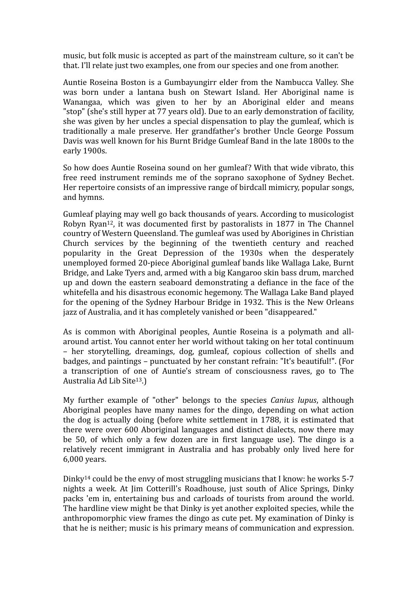music, but folk music is accepted as part of the mainstream culture, so it can't be that. I'll relate just two examples, one from our species and one from another.

Auntie Roseina Boston is a Gumbayungirr elder from the Nambucca Valley. She was born under a lantana bush on Stewart Island. Her Aboriginal name is Wanangaa, which was given to her by an Aboriginal elder and means "stop" (she's still hyper at 77 years old). Due to an early demonstration of facility, she was given by her uncles a special dispensation to play the gumleaf, which is traditionally a male preserve. Her grandfather's brother Uncle George Possum Davis was well known for his Burnt Bridge Gumleaf Band in the late 1800s to the early 1900s.

So how does Auntie Roseina sound on her gumleaf? With that wide vibrato, this free reed instrument reminds me of the soprano saxophone of Sydney Bechet. Her repertoire consists of an impressive range of birdcall mimicry, popular songs, and hymns.

<span id="page-11-0"></span>Gumleaf playing may well go back thousands of years. According to musicologist Robyn Ryan<sup>[12](#page-15-1)</sup>, it was documented first by pastoralists in 1877 in The Channel country of Western Queensland. The gumleaf was used by Aborigines in Christian Church services by the beginning of the twentieth century and reached popularity in the Great Depression of the 1930s when the desperately unemployed formed 20-piece Aboriginal gumleaf bands like Wallaga Lake, Burnt Bridge, and Lake Tvers and, armed with a big Kangaroo skin bass drum, marched up and down the eastern seaboard demonstrating a defiance in the face of the whitefella and his disastrous economic hegemony. The Wallaga Lake Band played for the opening of the Sydney Harbour Bridge in 1932. This is the New Orleans jazz of Australia, and it has completely vanished or been "disappeared."

As is common with Aboriginal peoples, Auntie Roseina is a polymath and allaround artist. You cannot enter her world without taking on her total continuum – her storytelling, dreamings, dog, gumleaf, copious collection of shells and badges, and paintings – punctuated by her constant refrain: "It's beautiful!". (For a transcription of one of Auntie's stream of consciousness raves, go to The Australia Ad Lib Site<sup>[13](#page-15-2)</sup>.)

<span id="page-11-1"></span>My further example of "other" belongs to the species *Canius lupus*, although Aboriginal peoples have many names for the dingo, depending on what action the dog is actually doing (before white settlement in 1788, it is estimated that there were over 600 Aboriginal languages and distinct dialects, now there may be 50, of which only a few dozen are in first language use). The dingo is a relatively recent immigrant in Australia and has probably only lived here for 6,000 years. 

<span id="page-11-2"></span>Dinky<sup>[14](#page-15-3)</sup> could be the envy of most struggling musicians that I know: he works 5-7 nights a week. At Jim Cotterill's Roadhouse, just south of Alice Springs, Dinky packs 'em in, entertaining bus and carloads of tourists from around the world. The hardline view might be that Dinky is yet another exploited species, while the anthropomorphic view frames the dingo as cute pet. My examination of Dinky is that he is neither; music is his primary means of communication and expression.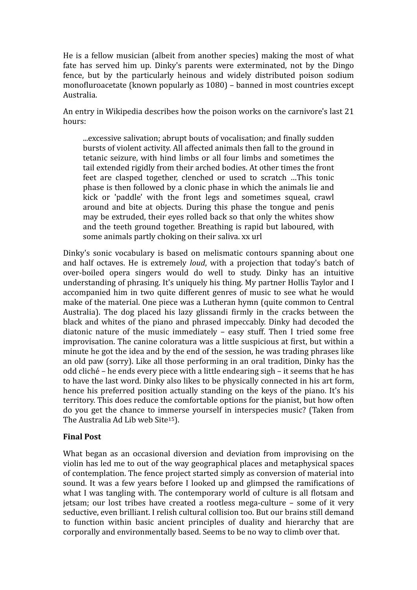He is a fellow musician (albeit from another species) making the most of what fate has served him up. Dinky's parents were exterminated, not by the Dingo fence, but by the particularly heinous and widely distributed poison sodium monofluroacetate (known popularly as 1080) – banned in most countries except Australia. 

An entry in Wikipedia describes how the poison works on the carnivore's last 21 hours: 

...excessive salivation; abrupt bouts of vocalisation; and finally sudden bursts of violent activity. All affected animals then fall to the ground in tetanic seizure, with hind limbs or all four limbs and sometimes the tail extended rigidly from their arched bodies. At other times the front feet are clasped together, clenched or used to scratch ...This tonic phase is then followed by a clonic phase in which the animals lie and kick or 'paddle' with the front legs and sometimes squeal, crawl around and bite at objects. During this phase the tongue and penis may be extruded, their eves rolled back so that only the whites show and the teeth ground together. Breathing is rapid but laboured, with some animals partly choking on their saliva. xx url

Dinky's sonic vocabulary is based on melismatic contours spanning about one and half octaves. He is extremely *loud*, with a projection that today's batch of over-boiled opera singers would do well to study. Dinky has an intuitive understanding of phrasing. It's uniquely his thing. My partner Hollis Taylor and I accompanied him in two quite different genres of music to see what he would make of the [material](http://www.abc.net.au/arts/adlib/keywords.htm). One piece was a Lutheran hymn (quite common to Central Australia). The dog placed his lazy glissandi firmly in the cracks between the black and whites of the piano and phrased impeccably. Dinky had decoded the diatonic nature of the music immediately  $-$  easy stuff. Then I tried some free improvisation. The canine coloratura was a little suspicious at first, but within a minute he got the idea and by the end of the session, he was trading phrases like an old paw (sorry). Like all those performing in an oral tradition, Dinky has the odd cliché – he ends every piece with a little endearing sigh – it seems that he has to have the last word. Dinky also likes to be physically connected in his art form, hence his preferred position actually standing on the keys of the piano. It's his territory. This does reduce the comfortable options for the pianist, but how often do you get the chance to immerse yourself in interspecies music? (Taken from The Australia Ad Lib web Site<sup>[15](#page-15-4)</sup>).

## <span id="page-12-0"></span>**Final Post**

What began as an occasional diversion and deviation from improvising on the violin has led me to out of the way geographical places and metaphysical spaces of contemplation. The fence project started simply as conversion of material into sound. It was a few years before I looked up and glimpsed the ramifications of what I was tangling with. The contemporary world of culture is all flotsam and jetsam; our lost tribes have created a rootless mega-culture – some of it very seductive, even brilliant. I relish cultural collision too. But our brains still demand to function within basic ancient principles of duality and hierarchy that are corporally and environmentally based. Seems to be no way to climb over that.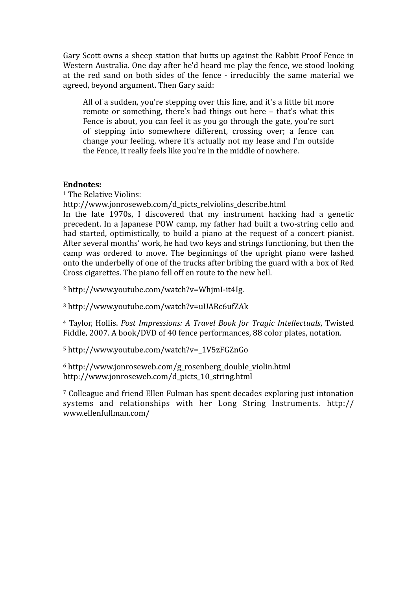Gary Scott owns a sheep station that butts up against the Rabbit Proof Fence in Western Australia. One day after he'd heard me play the fence, we stood looking at the red sand on both sides of the fence - irreducibly the same material we agreed, beyond argument. Then Gary said:

All of a sudden, you're stepping over this line, and it's a little bit more remote or something, there's bad things out here  $-$  that's what this Fence is about, you can feel it as you go through the gate, you're sort of stepping into somewhere different, crossing over; a fence can change your feeling, where it's actually not my lease and I'm outside the Fence, it really feels like you're in the middle of nowhere.

#### **Endnotes:**

<span id="page-13-0"></span><sup>[1](#page-1-0)</sup> The Relative Violins:

http://www.jonroseweb.com/d\_picts\_relviolins\_describe.html 

In the late  $1970s$ , I discovered that my instrument hacking had a genetic precedent. In a Japanese POW camp, my father had built a two-string cello and had started, optimistically, to build a piano at the request of a concert pianist. After several months' work, he had two keys and strings functioning, but then the camp was ordered to move. The beginnings of the upright piano were lashed onto the underbelly of one of the trucks after bribing the guard with a box of Red Cross cigarettes. The piano fell off en route to the new hell.

<span id="page-13-1"></span> http://www.youtube.com/watch?v=WhjmI-it4Ig. [2](#page-1-1)

<span id="page-13-2"></span>[3](#page-1-2) http://www.youtube.com/watch?v=uUARc6ufZAk

<span id="page-13-3"></span><sup>[4](#page-2-0)</sup> Taylor, Hollis. *Post Impressions: A Travel Book for Tragic Intellectuals*, Twisted Fiddle, 2007. A book/DVD of 40 fence performances, 88 color plates, notation.

<span id="page-13-4"></span>[5](#page-4-0) http://www.youtube.com/watch?v=\_1V5zFGZnGo

<span id="page-13-5"></span> $6$  http://www.jonroseweb.com/g\_rosenberg\_double\_violin.html http://www.jonroseweb.com/d\_picts\_10\_string.html

<span id="page-13-6"></span><sup>[7](#page-7-0)</sup> Colleague and friend Ellen Fulman has spent decades exploring just intonation systems and relationships with her Long String Instruments. http:// www.ellenfullman.com/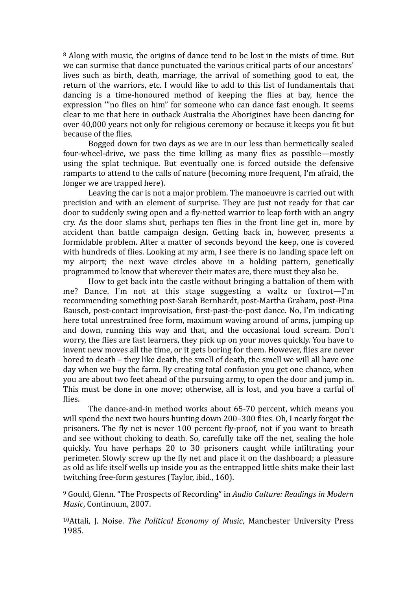<span id="page-14-0"></span><sup>[8](#page-8-0)</sup> Along with music, the origins of dance tend to be lost in the mists of time. But we can surmise that dance punctuated the various critical parts of our ancestors' lives such as birth, death, marriage, the arrival of something good to eat, the return of the warriors, etc. I would like to add to this list of fundamentals that dancing is a time-honoured method of keeping the flies at bay, hence the expression "no flies on him" for someone who can dance fast enough. It seems clear to me that here in outback Australia the Aborigines have been dancing for over 40,000 years not only for religious ceremony or because it keeps you fit but because of the flies.

Bogged down for two days as we are in our less than hermetically sealed four-wheel-drive, we pass the time killing as many flies as possible—mostly using the splat technique. But eventually one is forced outside the defensive ramparts to attend to the calls of nature (becoming more frequent, I'm afraid, the longer we are trapped here).

Leaving the car is not a major problem. The manoeuvre is carried out with precision and with an element of surprise. They are just not ready for that car door to suddenly swing open and a fly-netted warrior to leap forth with an angry cry. As the door slams shut, perhaps ten flies in the front line get in, more by accident than battle campaign design. Getting back in, however, presents a formidable problem. After a matter of seconds beyond the keep, one is covered with hundreds of flies. Looking at my arm, I see there is no landing space left on my airport; the next wave circles above in a holding pattern, genetically programmed to know that wherever their mates are, there must they also be.

How to get back into the castle without bringing a battalion of them with me? Dance. I'm not at this stage suggesting a waltz or foxtrot—I'm recommending something post-Sarah Bernhardt, post-Martha Graham, post-Pina Bausch, post-contact improvisation, first-past-the-post dance. No, I'm indicating here total unrestrained free form, maximum waving around of arms, jumping up and down, running this way and that, and the occasional loud scream. Don't worry, the flies are fast learners, they pick up on your moves quickly. You have to invent new moves all the time, or it gets boring for them. However, flies are never bored to death – they like death, the smell of death, the smell we will all have one day when we buy the farm. By creating total confusion you get one chance, when you are about two feet ahead of the pursuing army, to open the door and jump in. This must be done in one move; otherwise, all is lost, and you have a carful of flies.

The dance-and-in method works about 65-70 percent, which means you will spend the next two hours hunting down 200–300 flies. Oh, I nearly forgot the prisoners. The fly net is never 100 percent fly-proof, not if you want to breath and see without choking to death. So, carefully take off the net, sealing the hole quickly. You have perhaps 20 to 30 prisoners caught while infiltrating your perimeter. Slowly screw up the fly net and place it on the dashboard; a pleasure as old as life itself wells up inside you as the entrapped little shits make their last twitching free-form gestures (Taylor, ibid., 160).

<span id="page-14-1"></span><sup>[9](#page-9-0)</sup> Gould, Glenn. "The Prospects of Recording" in *Audio Culture: Readings in Modern Music*, Continuum, 2007.

<span id="page-14-2"></span><sup>[10](#page-10-0)</sup> Attali, J. Noise. *The Political Economy of Music*, Manchester University Press 1985.